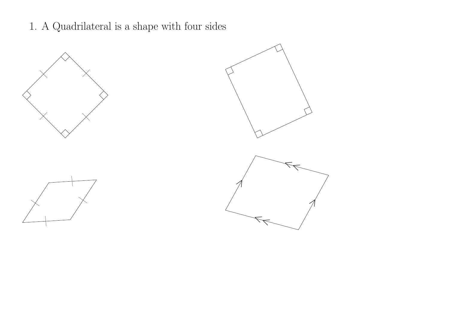1. A Quadrilateral is a shape with four sides





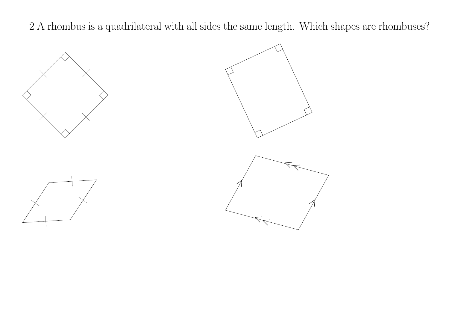2 A rhombus is a quadrilateral with all sides the same length. Which shapes are rhombuses?





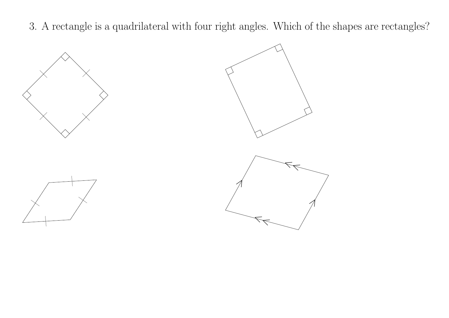3. A rectangle is a quadrilateral with four right angles. Which of the shapes are rectangles?





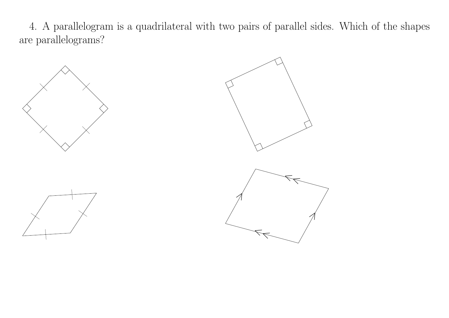4. A parallelogram is a quadrilateral with two pairs of parallel sides. Which of the shapes are parallelograms?





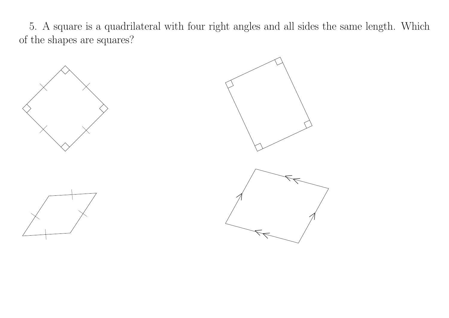5. A square is a quadrilateral with four right angles and all sides the same length. Which of the shapes are squares?



 $\chi$  and  $\chi$  and  $\chi$ 

—

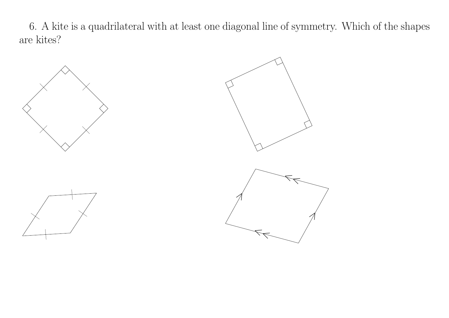6. A kite is a quadrilateral with at least one diagonal line of symmetry. Which of the shapes are kites?

 $\mathcal{A}$ 

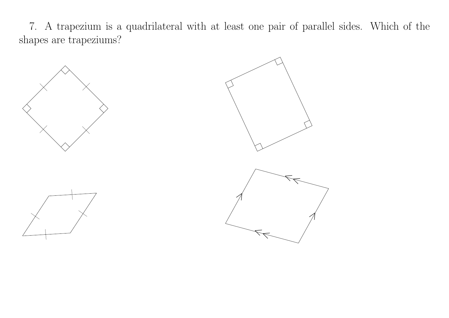7. A trapezium is a quadrilateral with at least one pair of parallel sides. Which of the shapes are trapeziums?





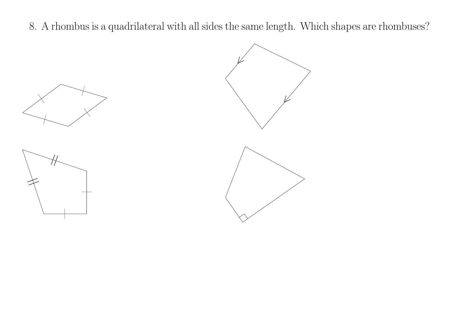8. A rhombus is a quadrilateral with all sides the same length. Which shapes are rhombuses?





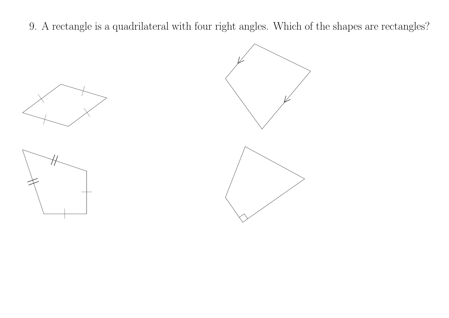9. A rectangle is a quadrilateral with four right angles. Which of the shapes are rectangles?





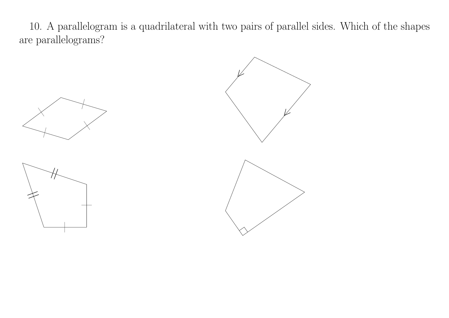10. A parallelogram is a quadrilateral with two pairs of parallel sides. Which of the shapes are parallelograms?





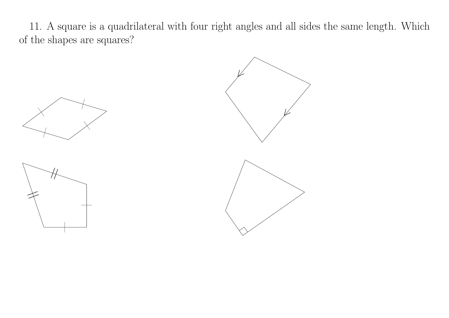11. A square is a quadrilateral with four right angles and all sides the same length. Which of the shapes are squares?





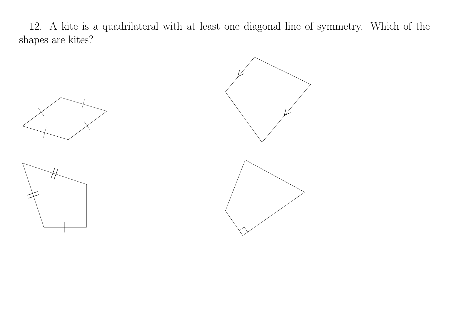12. A kite is a quadrilateral with at least one diagonal line of symmetry. Which of the shapes are kites?